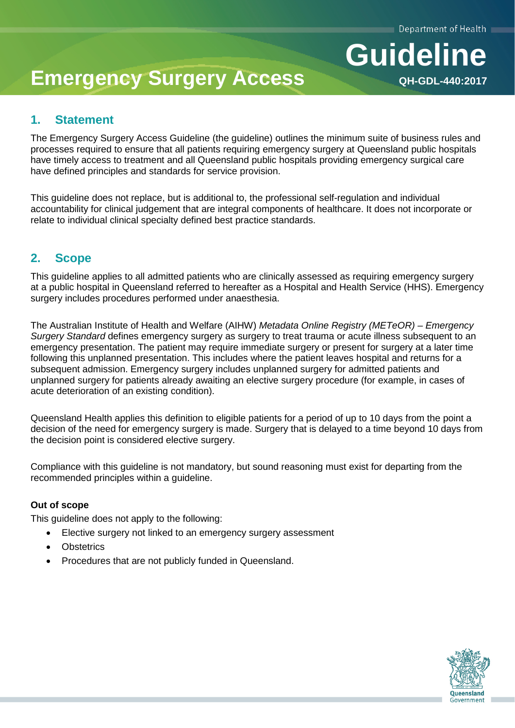**QH-GDL-440:2017**

**Guideline**

# **Emergency Surgery Access**

# **1. Statement**

The Emergency Surgery Access Guideline (the guideline) outlines the minimum suite of business rules and processes required to ensure that all patients requiring emergency surgery at Queensland public hospitals have timely access to treatment and all Queensland public hospitals providing emergency surgical care have defined principles and standards for service provision.

This guideline does not replace, but is additional to, the professional self-regulation and individual accountability for clinical judgement that are integral components of healthcare. It does not incorporate or relate to individual clinical specialty defined best practice standards.

# **2. Scope**

This guideline applies to all admitted patients who are clinically assessed as requiring emergency surgery at a public hospital in Queensland referred to hereafter as a Hospital and Health Service (HHS). Emergency surgery includes procedures performed under anaesthesia.

The Australian Institute of Health and Welfare (AIHW) *Metadata Online Registry (METeOR) – Emergency Surgery Standard* defines emergency surgery as surgery to treat trauma or acute illness subsequent to an emergency presentation. The patient may require immediate surgery or present for surgery at a later time following this unplanned presentation. This includes where the patient leaves hospital and returns for a subsequent admission. Emergency surgery includes unplanned surgery for admitted patients and unplanned surgery for patients already awaiting an elective surgery procedure (for example, in cases of acute deterioration of an existing condition).

Queensland Health applies this definition to eligible patients for a period of up to 10 days from the point a decision of the need for emergency surgery is made. Surgery that is delayed to a time beyond 10 days from the decision point is considered elective surgery.

Compliance with this guideline is not mandatory, but sound reasoning must exist for departing from the recommended principles within a guideline.

#### **Out of scope**

This guideline does not apply to the following:

- Elective surgery not linked to an emergency surgery assessment
- **Obstetrics**
- Procedures that are not publicly funded in Queensland.

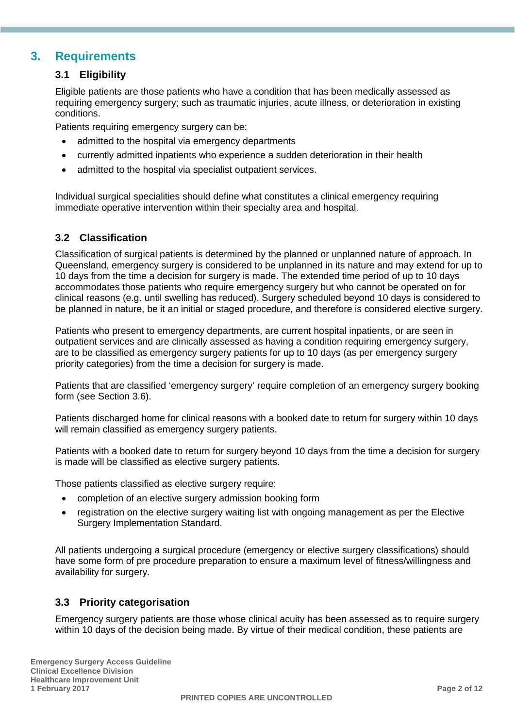## **3. Requirements**

#### **3.1 Eligibility**

Eligible patients are those patients who have a condition that has been medically assessed as requiring emergency surgery; such as traumatic injuries, acute illness, or deterioration in existing conditions.

Patients requiring emergency surgery can be:

- admitted to the hospital via emergency departments
- currently admitted inpatients who experience a sudden deterioration in their health
- admitted to the hospital via specialist outpatient services.

Individual surgical specialities should define what constitutes a clinical emergency requiring immediate operative intervention within their specialty area and hospital.

#### **3.2 Classification**

Classification of surgical patients is determined by the planned or unplanned nature of approach. In Queensland, emergency surgery is considered to be unplanned in its nature and may extend for up to 10 days from the time a decision for surgery is made. The extended time period of up to 10 days accommodates those patients who require emergency surgery but who cannot be operated on for clinical reasons (e.g. until swelling has reduced). Surgery scheduled beyond 10 days is considered to be planned in nature, be it an initial or staged procedure, and therefore is considered elective surgery.

Patients who present to emergency departments, are current hospital inpatients, or are seen in outpatient services and are clinically assessed as having a condition requiring emergency surgery, are to be classified as emergency surgery patients for up to 10 days (as per emergency surgery priority categories) from the time a decision for surgery is made.

Patients that are classified 'emergency surgery' require completion of an emergency surgery booking form (see Section 3.6).

Patients discharged home for clinical reasons with a booked date to return for surgery within 10 days will remain classified as emergency surgery patients.

Patients with a booked date to return for surgery beyond 10 days from the time a decision for surgery is made will be classified as elective surgery patients.

Those patients classified as elective surgery require:

- completion of an elective surgery admission booking form
- registration on the elective surgery waiting list with ongoing management as per the Elective Surgery Implementation Standard.

All patients undergoing a surgical procedure (emergency or elective surgery classifications) should have some form of pre procedure preparation to ensure a maximum level of fitness/willingness and availability for surgery.

#### **3.3 Priority categorisation**

Emergency surgery patients are those whose clinical acuity has been assessed as to require surgery within 10 days of the decision being made. By virtue of their medical condition, these patients are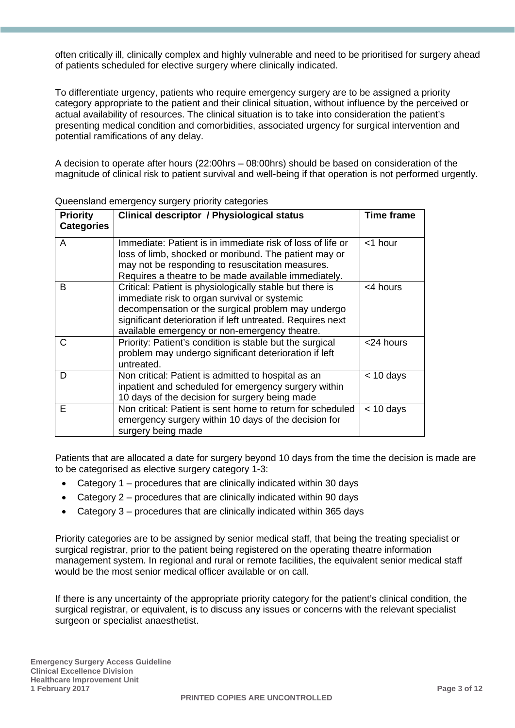often critically ill, clinically complex and highly vulnerable and need to be prioritised for surgery ahead of patients scheduled for elective surgery where clinically indicated.

To differentiate urgency, patients who require emergency surgery are to be assigned a priority category appropriate to the patient and their clinical situation, without influence by the perceived or actual availability of resources. The clinical situation is to take into consideration the patient's presenting medical condition and comorbidities, associated urgency for surgical intervention and potential ramifications of any delay.

A decision to operate after hours (22:00hrs – 08:00hrs) should be based on consideration of the magnitude of clinical risk to patient survival and well-being if that operation is not performed urgently.

| <b>Priority</b>   | <b>Clinical descriptor / Physiological status</b><br>Time frame                                                                                                                                                                                                               |             |  |
|-------------------|-------------------------------------------------------------------------------------------------------------------------------------------------------------------------------------------------------------------------------------------------------------------------------|-------------|--|
| <b>Categories</b> |                                                                                                                                                                                                                                                                               |             |  |
| A                 | Immediate: Patient is in immediate risk of loss of life or<br>loss of limb, shocked or moribund. The patient may or<br>may not be responding to resuscitation measures.<br>Requires a theatre to be made available immediately.                                               | <1 hour     |  |
| B                 | Critical: Patient is physiologically stable but there is<br>immediate risk to organ survival or systemic<br>decompensation or the surgical problem may undergo<br>significant deterioration if left untreated. Requires next<br>available emergency or non-emergency theatre. | <4 hours    |  |
| C                 | Priority: Patient's condition is stable but the surgical<br>problem may undergo significant deterioration if left<br>untreated.                                                                                                                                               | <24 hours   |  |
| D                 | Non critical: Patient is admitted to hospital as an<br>inpatient and scheduled for emergency surgery within<br>10 days of the decision for surgery being made                                                                                                                 | $< 10$ days |  |
| Е                 | Non critical: Patient is sent home to return for scheduled<br>emergency surgery within 10 days of the decision for<br>surgery being made                                                                                                                                      | $<$ 10 days |  |

Queensland emergency surgery priority categories

Patients that are allocated a date for surgery beyond 10 days from the time the decision is made are to be categorised as elective surgery category 1-3:

- Category 1 procedures that are clinically indicated within 30 days
- Category 2 procedures that are clinically indicated within 90 days
- Category 3 procedures that are clinically indicated within 365 days

Priority categories are to be assigned by senior medical staff, that being the treating specialist or surgical registrar, prior to the patient being registered on the operating theatre information management system. In regional and rural or remote facilities, the equivalent senior medical staff would be the most senior medical officer available or on call.

If there is any uncertainty of the appropriate priority category for the patient's clinical condition, the surgical registrar, or equivalent, is to discuss any issues or concerns with the relevant specialist surgeon or specialist anaesthetist.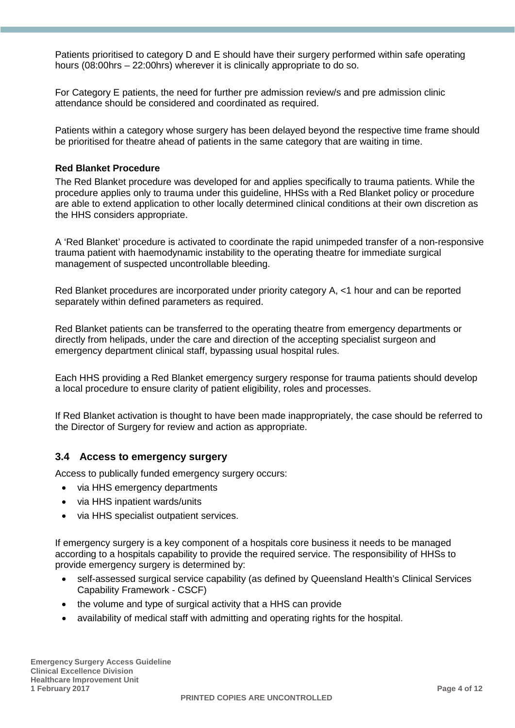Patients prioritised to category D and E should have their surgery performed within safe operating hours (08:00hrs – 22:00hrs) wherever it is clinically appropriate to do so.

For Category E patients, the need for further pre admission review/s and pre admission clinic attendance should be considered and coordinated as required.

Patients within a category whose surgery has been delayed beyond the respective time frame should be prioritised for theatre ahead of patients in the same category that are waiting in time.

#### **Red Blanket Procedure**

The Red Blanket procedure was developed for and applies specifically to trauma patients. While the procedure applies only to trauma under this guideline, HHSs with a Red Blanket policy or procedure are able to extend application to other locally determined clinical conditions at their own discretion as the HHS considers appropriate.

A 'Red Blanket' procedure is activated to coordinate the rapid unimpeded transfer of a non-responsive trauma patient with haemodynamic instability to the operating theatre for immediate surgical management of suspected uncontrollable bleeding.

Red Blanket procedures are incorporated under priority category A, <1 hour and can be reported separately within defined parameters as required.

Red Blanket patients can be transferred to the operating theatre from emergency departments or directly from helipads, under the care and direction of the accepting specialist surgeon and emergency department clinical staff, bypassing usual hospital rules.

Each HHS providing a Red Blanket emergency surgery response for trauma patients should develop a local procedure to ensure clarity of patient eligibility, roles and processes.

If Red Blanket activation is thought to have been made inappropriately, the case should be referred to the Director of Surgery for review and action as appropriate.

#### **3.4 Access to emergency surgery**

Access to publically funded emergency surgery occurs:

- via HHS emergency departments
- via HHS inpatient wards/units
- via HHS specialist outpatient services.

If emergency surgery is a key component of a hospitals core business it needs to be managed according to a hospitals capability to provide the required service. The responsibility of HHSs to provide emergency surgery is determined by:

- self-assessed surgical service capability (as defined by Queensland Health's Clinical Services Capability Framework - CSCF)
- the volume and type of surgical activity that a HHS can provide
- availability of medical staff with admitting and operating rights for the hospital.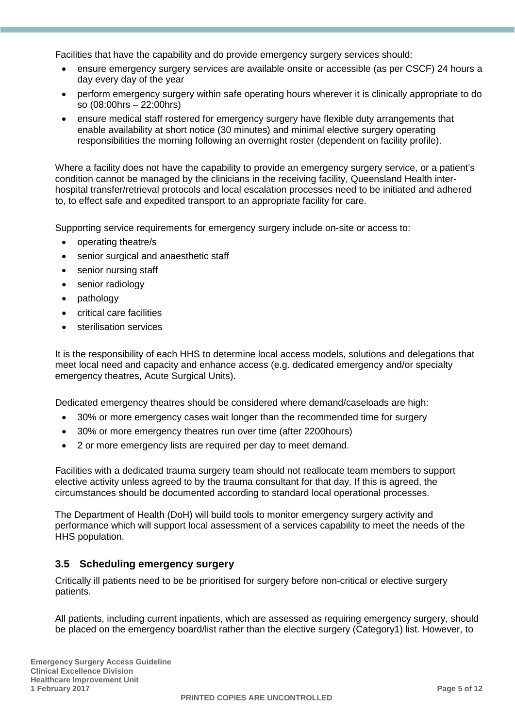Facilities that have the capability and do provide emergency surgery services should:

- ensure emergency surgery services are available onsite or accessible (as per CSCF) 24 hours a day every day of the year
- perform emergency surgery within safe operating hours wherever it is clinically appropriate to do so (08:00hrs – 22:00hrs)
- ensure medical staff rostered for emergency surgery have flexible duty arrangements that enable availability at short notice (30 minutes) and minimal elective surgery operating responsibilities the morning following an overnight roster (dependent on facility profile).

Where a facility does not have the capability to provide an emergency surgery service, or a patient's condition cannot be managed by the clinicians in the receiving facility, Queensland Health interhospital transfer/retrieval protocols and local escalation processes need to be initiated and adhered to, to effect safe and expedited transport to an appropriate facility for care.

Supporting service requirements for emergency surgery include on-site or access to:

- operating theatre/s
- senior surgical and anaesthetic staff
- senior nursing staff
- senior radiology
- pathology
- critical care facilities
- sterilisation services

It is the responsibility of each HHS to determine local access models, solutions and delegations that meet local need and capacity and enhance access (e.g. dedicated emergency and/or specialty emergency theatres, Acute Surgical Units).

Dedicated emergency theatres should be considered where demand/caseloads are high:

- 30% or more emergency cases wait longer than the recommended time for surgery
- 30% or more emergency theatres run over time (after 2200hours)
- 2 or more emergency lists are required per day to meet demand.

Facilities with a dedicated trauma surgery team should not reallocate team members to support elective activity unless agreed to by the trauma consultant for that day. If this is agreed, the circumstances should be documented according to standard local operational processes.

The Department of Health (DoH) will build tools to monitor emergency surgery activity and performance which will support local assessment of a services capability to meet the needs of the HHS population.

#### **3.5 Scheduling emergency surgery**

Critically ill patients need to be be prioritised for surgery before non-critical or elective surgery patients.

All patients, including current inpatients, which are assessed as requiring emergency surgery, should be placed on the emergency board/list rather than the elective surgery (Category1) list. However, to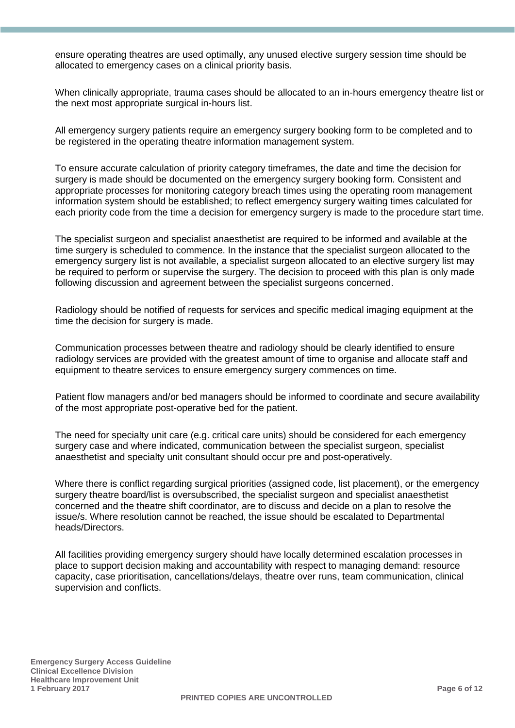ensure operating theatres are used optimally, any unused elective surgery session time should be allocated to emergency cases on a clinical priority basis.

When clinically appropriate, trauma cases should be allocated to an in-hours emergency theatre list or the next most appropriate surgical in-hours list.

All emergency surgery patients require an emergency surgery booking form to be completed and to be registered in the operating theatre information management system.

To ensure accurate calculation of priority category timeframes, the date and time the decision for surgery is made should be documented on the emergency surgery booking form. Consistent and appropriate processes for monitoring category breach times using the operating room management information system should be established; to reflect emergency surgery waiting times calculated for each priority code from the time a decision for emergency surgery is made to the procedure start time.

The specialist surgeon and specialist anaesthetist are required to be informed and available at the time surgery is scheduled to commence. In the instance that the specialist surgeon allocated to the emergency surgery list is not available, a specialist surgeon allocated to an elective surgery list may be required to perform or supervise the surgery. The decision to proceed with this plan is only made following discussion and agreement between the specialist surgeons concerned.

Radiology should be notified of requests for services and specific medical imaging equipment at the time the decision for surgery is made.

Communication processes between theatre and radiology should be clearly identified to ensure radiology services are provided with the greatest amount of time to organise and allocate staff and equipment to theatre services to ensure emergency surgery commences on time.

Patient flow managers and/or bed managers should be informed to coordinate and secure availability of the most appropriate post-operative bed for the patient.

The need for specialty unit care (e.g. critical care units) should be considered for each emergency surgery case and where indicated, communication between the specialist surgeon, specialist anaesthetist and specialty unit consultant should occur pre and post-operatively.

Where there is conflict regarding surgical priorities (assigned code, list placement), or the emergency surgery theatre board/list is oversubscribed, the specialist surgeon and specialist anaesthetist concerned and the theatre shift coordinator, are to discuss and decide on a plan to resolve the issue/s. Where resolution cannot be reached, the issue should be escalated to Departmental heads/Directors.

All facilities providing emergency surgery should have locally determined escalation processes in place to support decision making and accountability with respect to managing demand: resource capacity, case prioritisation, cancellations/delays, theatre over runs, team communication, clinical supervision and conflicts.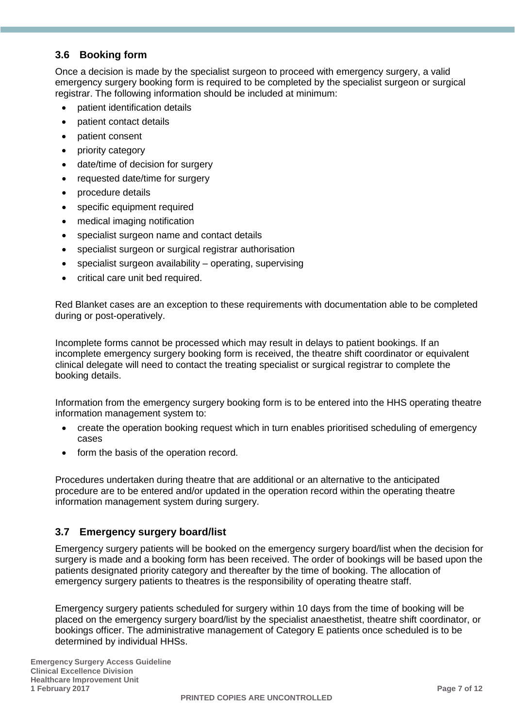#### **3.6 Booking form**

Once a decision is made by the specialist surgeon to proceed with emergency surgery, a valid emergency surgery booking form is required to be completed by the specialist surgeon or surgical registrar. The following information should be included at minimum:

- patient identification details
- patient contact details
- patient consent
- priority category
- date/time of decision for surgery
- requested date/time for surgery
- procedure details
- specific equipment required
- medical imaging notification
- specialist surgeon name and contact details
- specialist surgeon or surgical registrar authorisation
- specialist surgeon availability operating, supervising
- critical care unit bed required.

Red Blanket cases are an exception to these requirements with documentation able to be completed during or post-operatively.

Incomplete forms cannot be processed which may result in delays to patient bookings. If an incomplete emergency surgery booking form is received, the theatre shift coordinator or equivalent clinical delegate will need to contact the treating specialist or surgical registrar to complete the booking details.

Information from the emergency surgery booking form is to be entered into the HHS operating theatre information management system to:

- create the operation booking request which in turn enables prioritised scheduling of emergency cases
- form the basis of the operation record.

Procedures undertaken during theatre that are additional or an alternative to the anticipated procedure are to be entered and/or updated in the operation record within the operating theatre information management system during surgery.

#### **3.7 Emergency surgery board/list**

Emergency surgery patients will be booked on the emergency surgery board/list when the decision for surgery is made and a booking form has been received. The order of bookings will be based upon the patients designated priority category and thereafter by the time of booking. The allocation of emergency surgery patients to theatres is the responsibility of operating theatre staff.

Emergency surgery patients scheduled for surgery within 10 days from the time of booking will be placed on the emergency surgery board/list by the specialist anaesthetist, theatre shift coordinator, or bookings officer. The administrative management of Category E patients once scheduled is to be determined by individual HHSs.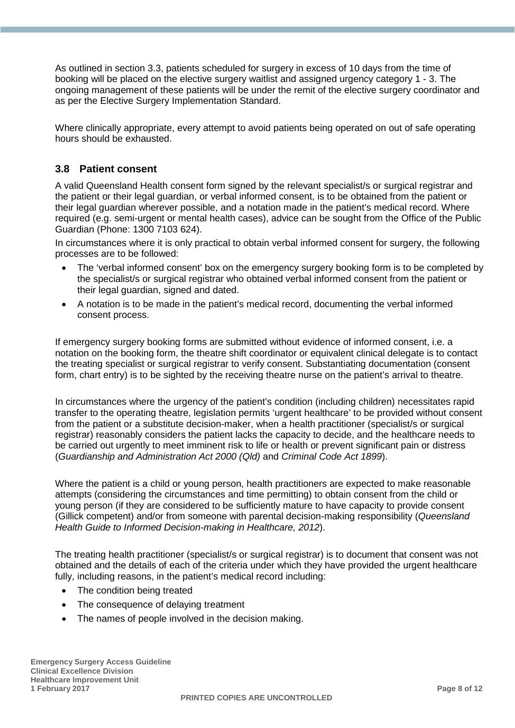As outlined in section 3.3, patients scheduled for surgery in excess of 10 days from the time of booking will be placed on the elective surgery waitlist and assigned urgency category 1 - 3. The ongoing management of these patients will be under the remit of the elective surgery coordinator and as per the Elective Surgery Implementation Standard.

Where clinically appropriate, every attempt to avoid patients being operated on out of safe operating hours should be exhausted.

#### **3.8 Patient consent**

A valid Queensland Health consent form signed by the relevant specialist/s or surgical registrar and the patient or their legal guardian, or verbal informed consent, is to be obtained from the patient or their legal guardian wherever possible, and a notation made in the patient's medical record. Where required (e.g. semi-urgent or mental health cases), advice can be sought from the Office of the Public Guardian (Phone: 1300 7103 624).

In circumstances where it is only practical to obtain verbal informed consent for surgery, the following processes are to be followed:

- The 'verbal informed consent' box on the emergency surgery booking form is to be completed by the specialist/s or surgical registrar who obtained verbal informed consent from the patient or their legal guardian, signed and dated.
- A notation is to be made in the patient's medical record, documenting the verbal informed consent process.

If emergency surgery booking forms are submitted without evidence of informed consent, i.e. a notation on the booking form, the theatre shift coordinator or equivalent clinical delegate is to contact the treating specialist or surgical registrar to verify consent. Substantiating documentation (consent form, chart entry) is to be sighted by the receiving theatre nurse on the patient's arrival to theatre.

In circumstances where the urgency of the patient's condition (including children) necessitates rapid transfer to the operating theatre, legislation permits 'urgent healthcare' to be provided without consent from the patient or a substitute decision-maker, when a health practitioner (specialist/s or surgical registrar) reasonably considers the patient lacks the capacity to decide, and the healthcare needs to be carried out urgently to meet imminent risk to life or health or prevent significant pain or distress (*Guardianship and Administration Act 2000 (Qld)* and *Criminal Code Act 1899*).

Where the patient is a child or young person, health practitioners are expected to make reasonable attempts (considering the circumstances and time permitting) to obtain consent from the child or young person (if they are considered to be sufficiently mature to have capacity to provide consent (Gillick competent) and/or from someone with parental decision-making responsibility (*Queensland Health Guide to Informed Decision-making in Healthcare, 2012*).

The treating health practitioner (specialist/s or surgical registrar) is to document that consent was not obtained and the details of each of the criteria under which they have provided the urgent healthcare fully, including reasons, in the patient's medical record including:

- The condition being treated
- The consequence of delaying treatment
- The names of people involved in the decision making.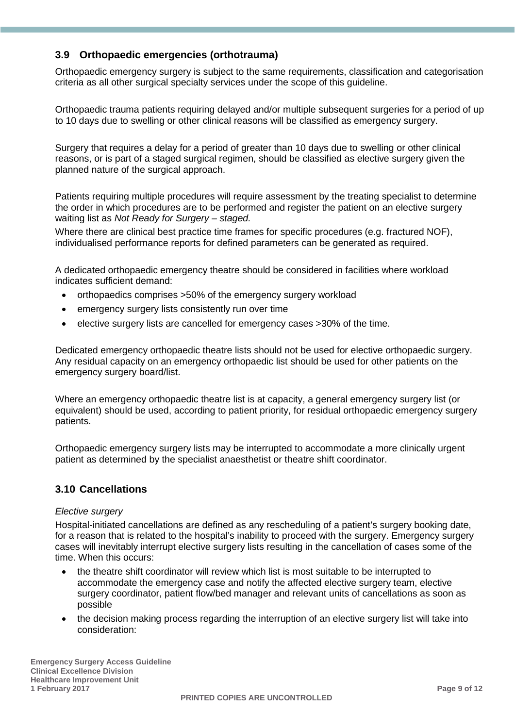#### **3.9 Orthopaedic emergencies (orthotrauma)**

Orthopaedic emergency surgery is subject to the same requirements, classification and categorisation criteria as all other surgical specialty services under the scope of this guideline.

Orthopaedic trauma patients requiring delayed and/or multiple subsequent surgeries for a period of up to 10 days due to swelling or other clinical reasons will be classified as emergency surgery.

Surgery that requires a delay for a period of greater than 10 days due to swelling or other clinical reasons, or is part of a staged surgical regimen, should be classified as elective surgery given the planned nature of the surgical approach.

Patients requiring multiple procedures will require assessment by the treating specialist to determine the order in which procedures are to be performed and register the patient on an elective surgery waiting list as *Not Ready for Surgery – staged.*

Where there are clinical best practice time frames for specific procedures (e.g. fractured NOF), individualised performance reports for defined parameters can be generated as required.

A dedicated orthopaedic emergency theatre should be considered in facilities where workload indicates sufficient demand:

- orthopaedics comprises >50% of the emergency surgery workload
- emergency surgery lists consistently run over time
- elective surgery lists are cancelled for emergency cases >30% of the time.

Dedicated emergency orthopaedic theatre lists should not be used for elective orthopaedic surgery. Any residual capacity on an emergency orthopaedic list should be used for other patients on the emergency surgery board/list.

Where an emergency orthopaedic theatre list is at capacity, a general emergency surgery list (or equivalent) should be used, according to patient priority, for residual orthopaedic emergency surgery patients.

Orthopaedic emergency surgery lists may be interrupted to accommodate a more clinically urgent patient as determined by the specialist anaesthetist or theatre shift coordinator.

#### **3.10 Cancellations**

#### *Elective surgery*

Hospital-initiated cancellations are defined as any rescheduling of a patient's surgery booking date, for a reason that is related to the hospital's inability to proceed with the surgery. Emergency surgery cases will inevitably interrupt elective surgery lists resulting in the cancellation of cases some of the time. When this occurs:

- the theatre shift coordinator will review which list is most suitable to be interrupted to accommodate the emergency case and notify the affected elective surgery team, elective surgery coordinator, patient flow/bed manager and relevant units of cancellations as soon as possible
- the decision making process regarding the interruption of an elective surgery list will take into consideration: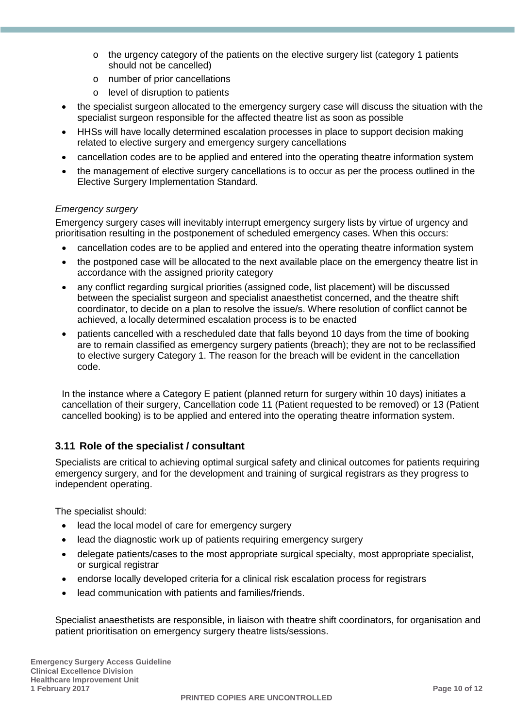- $\circ$  the urgency category of the patients on the elective surgery list (category 1 patients should not be cancelled)
- o number of prior cancellations
- o level of disruption to patients
- the specialist surgeon allocated to the emergency surgery case will discuss the situation with the specialist surgeon responsible for the affected theatre list as soon as possible
- HHSs will have locally determined escalation processes in place to support decision making related to elective surgery and emergency surgery cancellations
- cancellation codes are to be applied and entered into the operating theatre information system
- the management of elective surgery cancellations is to occur as per the process outlined in the Elective Surgery Implementation Standard.

#### *Emergency surgery*

Emergency surgery cases will inevitably interrupt emergency surgery lists by virtue of urgency and prioritisation resulting in the postponement of scheduled emergency cases. When this occurs:

- cancellation codes are to be applied and entered into the operating theatre information system
- the postponed case will be allocated to the next available place on the emergency theatre list in accordance with the assigned priority category
- any conflict regarding surgical priorities (assigned code, list placement) will be discussed between the specialist surgeon and specialist anaesthetist concerned, and the theatre shift coordinator, to decide on a plan to resolve the issue/s. Where resolution of conflict cannot be achieved, a locally determined escalation process is to be enacted
- patients cancelled with a rescheduled date that falls beyond 10 days from the time of booking are to remain classified as emergency surgery patients (breach); they are not to be reclassified to elective surgery Category 1. The reason for the breach will be evident in the cancellation code.

In the instance where a Category E patient (planned return for surgery within 10 days) initiates a cancellation of their surgery, Cancellation code 11 (Patient requested to be removed) or 13 (Patient cancelled booking) is to be applied and entered into the operating theatre information system.

#### **3.11 Role of the specialist / consultant**

Specialists are critical to achieving optimal surgical safety and clinical outcomes for patients requiring emergency surgery, and for the development and training of surgical registrars as they progress to independent operating.

The specialist should:

- lead the local model of care for emergency surgery
- lead the diagnostic work up of patients requiring emergency surgery
- delegate patients/cases to the most appropriate surgical specialty, most appropriate specialist, or surgical registrar
- endorse locally developed criteria for a clinical risk escalation process for registrars
- lead communication with patients and families/friends.

Specialist anaesthetists are responsible, in liaison with theatre shift coordinators, for organisation and patient prioritisation on emergency surgery theatre lists/sessions.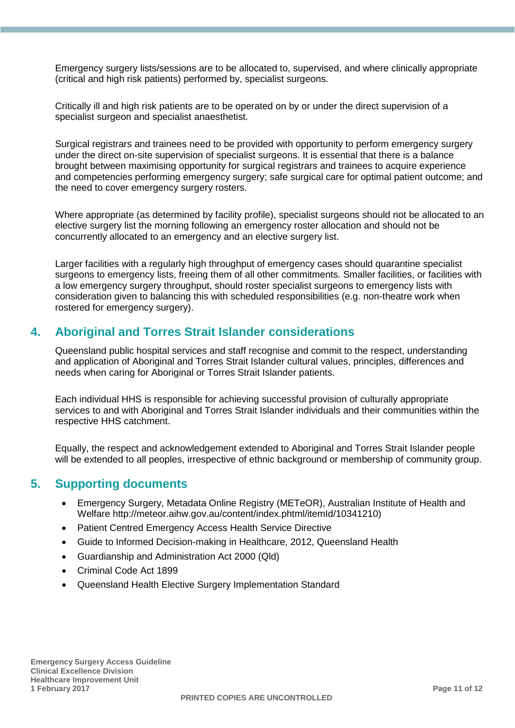Emergency surgery lists/sessions are to be allocated to, supervised, and where clinically appropriate (critical and high risk patients) performed by, specialist surgeons.

Critically ill and high risk patients are to be operated on by or under the direct supervision of a specialist surgeon and specialist anaesthetist.

Surgical registrars and trainees need to be provided with opportunity to perform emergency surgery under the direct on-site supervision of specialist surgeons. It is essential that there is a balance brought between maximising opportunity for surgical registrars and trainees to acquire experience and competencies performing emergency surgery; safe surgical care for optimal patient outcome; and the need to cover emergency surgery rosters.

Where appropriate (as determined by facility profile), specialist surgeons should not be allocated to an elective surgery list the morning following an emergency roster allocation and should not be concurrently allocated to an emergency and an elective surgery list.

Larger facilities with a regularly high throughput of emergency cases should quarantine specialist surgeons to emergency lists, freeing them of all other commitments. Smaller facilities, or facilities with a low emergency surgery throughput, should roster specialist surgeons to emergency lists with consideration given to balancing this with scheduled responsibilities (e.g. non-theatre work when rostered for emergency surgery).

### **4. Aboriginal and Torres Strait Islander considerations**

Queensland public hospital services and staff recognise and commit to the respect, understanding and application of Aboriginal and Torres Strait Islander cultural values, principles, differences and needs when caring for Aboriginal or Torres Strait Islander patients.

Each individual HHS is responsible for achieving successful provision of culturally appropriate services to and with Aboriginal and Torres Strait Islander individuals and their communities within the respective HHS catchment.

Equally, the respect and acknowledgement extended to Aboriginal and Torres Strait Islander people will be extended to all peoples, irrespective of ethnic background or membership of community group.

#### **5. Supporting documents**

- Emergency Surgery, Metadata Online Registry (METeOR), Australian Institute of Health and Welfare [http://meteor.aihw.gov.au/content/index.phtml/itemId/10341210\)](http://meteor.aihw.gov.au/content/index.phtml/itemId/534125)
- Patient Centred Emergency Access Health Service Directive
- Guide to Informed Decision-making in Healthcare, 2012, Queensland Health
- Guardianship and Administration Act 2000 (Qld)
- Criminal Code Act 1899
- Queensland Health Elective Surgery Implementation Standard